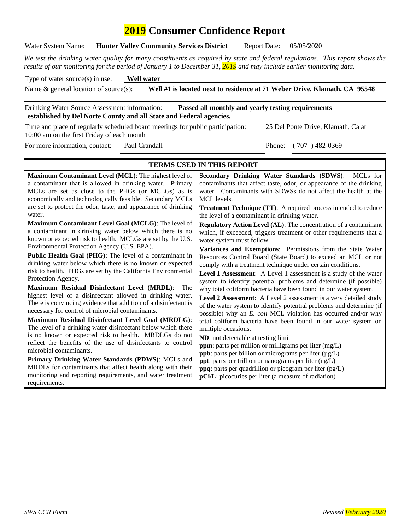# **2019 Consumer Confidence Report**

Water System Name: **Hunter Valley Community Services District** Report Date: 05/05/2020

*We test the drinking water quality for many constituents as required by state and federal regulations. This report shows the results of our monitoring for the period of January 1 to December 31, 2019 and may include earlier monitoring data.*

Type of water source(s) in use: **Well water**

Name & general location of source(s): **Well #1 is located next to residence at 71 Weber Drive, Klamath, CA 95548**

Drinking Water Source Assessment information: **Passed all monthly and yearly testing requirements established by Del Norte County and all State and Federal agencies.** 

Time and place of regularly scheduled board meetings for public participation: 25 Del Ponte Drive, Klamath, Ca at 10:00 am on the first Friday of each month

For more information, contact: Paul Crandall Phone: (707) 482-0369

#### **TERMS USED IN THIS REPORT**

**Maximum Contaminant Level (MCL)**: The highest level of a contaminant that is allowed in drinking water. Primary MCLs are set as close to the PHGs (or MCLGs) as is economically and technologically feasible. Secondary MCLs are set to protect the odor, taste, and appearance of drinking water.

**Maximum Contaminant Level Goal (MCLG)**: The level of a contaminant in drinking water below which there is no known or expected risk to health. MCLGs are set by the U.S. Environmental Protection Agency (U.S. EPA).

**Public Health Goal (PHG)**: The level of a contaminant in drinking water below which there is no known or expected risk to health. PHGs are set by the California Environmental Protection Agency.

**Maximum Residual Disinfectant Level (MRDL)**: The highest level of a disinfectant allowed in drinking water. There is convincing evidence that addition of a disinfectant is necessary for control of microbial contaminants.

**Maximum Residual Disinfectant Level Goal (MRDLG)**: The level of a drinking water disinfectant below which there is no known or expected risk to health. MRDLGs do not reflect the benefits of the use of disinfectants to control microbial contaminants.

**Primary Drinking Water Standards (PDWS)**: MCLs and MRDLs for contaminants that affect health along with their monitoring and reporting requirements, and water treatment requirements.

**Secondary Drinking Water Standards (SDWS)**:MCLs for contaminants that affect taste, odor, or appearance of the drinking water. Contaminants with SDWSs do not affect the health at the MCL levels.

**Treatment Technique (TT)**: A required process intended to reduce the level of a contaminant in drinking water.

**Regulatory Action Level (AL)**: The concentration of a contaminant which, if exceeded, triggers treatment or other requirements that a water system must follow.

**Variances and Exemptions**: Permissions from the State Water Resources Control Board (State Board) to exceed an MCL or not comply with a treatment technique under certain conditions.

**Level 1 Assessment**: A Level 1 assessment is a study of the water system to identify potential problems and determine (if possible) why total coliform bacteria have been found in our water system.

**Level 2 Assessment**: A Level 2 assessment is a very detailed study of the water system to identify potential problems and determine (if possible) why an *E. coli* MCL violation has occurred and/or why total coliform bacteria have been found in our water system on multiple occasions.

**ND**: not detectable at testing limit

**ppm**: parts per million or milligrams per liter (mg/L) **ppb**: parts per billion or micrograms per liter  $(\mu g/L)$ **ppt**: parts per trillion or nanograms per liter (ng/L) **ppq**: parts per quadrillion or picogram per liter (pg/L) **pCi/L**: picocuries per liter (a measure of radiation)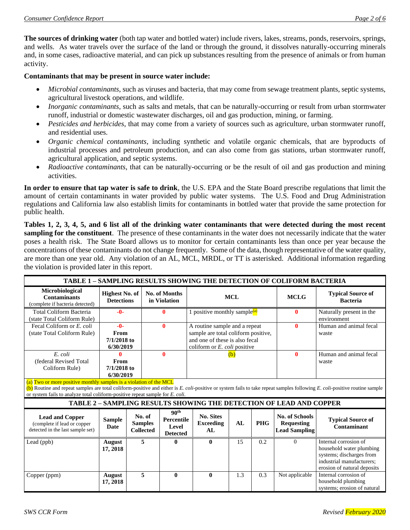**The sources of drinking water** (both tap water and bottled water) include rivers, lakes, streams, ponds, reservoirs, springs, and wells. As water travels over the surface of the land or through the ground, it dissolves naturally-occurring minerals and, in some cases, radioactive material, and can pick up substances resulting from the presence of animals or from human activity.

#### **Contaminants that may be present in source water include:**

- *Microbial contaminants*, such as viruses and bacteria, that may come from sewage treatment plants, septic systems, agricultural livestock operations, and wildlife.
- *Inorganic contaminants*, such as salts and metals, that can be naturally-occurring or result from urban stormwater runoff, industrial or domestic wastewater discharges, oil and gas production, mining, or farming.
- *Pesticides and herbicides*, that may come from a variety of sources such as agriculture, urban stormwater runoff, and residential uses.
- *Organic chemical contaminants*, including synthetic and volatile organic chemicals, that are byproducts of industrial processes and petroleum production, and can also come from gas stations, urban stormwater runoff, agricultural application, and septic systems.
- *Radioactive contaminants*, that can be naturally-occurring or be the result of oil and gas production and mining activities.

**In order to ensure that tap water is safe to drink**, the U.S. EPA and the State Board prescribe regulations that limit the amount of certain contaminants in water provided by public water systems. The U.S. Food and Drug Administration regulations and California law also establish limits for contaminants in bottled water that provide the same protection for public health.

**Tables 1, 2, 3, 4, 5, and 6 list all of the drinking water contaminants that were detected during the most recent sampling for the constituent**. The presence of these contaminants in the water does not necessarily indicate that the water poses a health risk. The State Board allows us to monitor for certain contaminants less than once per year because the concentrations of these contaminants do not change frequently. Some of the data, though representative of the water quality, are more than one year old. Any violation of an AL, MCL, MRDL, or TT is asterisked. Additional information regarding the violation is provided later in this report.

| TABLE 1 - SAMPLING RESULTS SHOWING THE DETECTION OF COLIFORM BACTERIA                     |                                                                                                                                                                                                                                                                                                                                   |  |                                              |                                                                   |                                                                                                                                                  |     |              |                                                                     |                                                                                                                                           |
|-------------------------------------------------------------------------------------------|-----------------------------------------------------------------------------------------------------------------------------------------------------------------------------------------------------------------------------------------------------------------------------------------------------------------------------------|--|----------------------------------------------|-------------------------------------------------------------------|--------------------------------------------------------------------------------------------------------------------------------------------------|-----|--------------|---------------------------------------------------------------------|-------------------------------------------------------------------------------------------------------------------------------------------|
| Microbiological<br><b>Contaminants</b><br>(complete if bacteria detected)                 | <b>Highest No. of</b><br><b>Detections</b>                                                                                                                                                                                                                                                                                        |  |                                              | No. of Months<br>in Violation                                     | <b>MCL</b>                                                                                                                                       |     | <b>MCLG</b>  | <b>Typical Source of</b><br><b>Bacteria</b>                         |                                                                                                                                           |
| <b>Total Coliform Bacteria</b><br>(state Total Coliform Rule)                             | $-0-$                                                                                                                                                                                                                                                                                                                             |  | 0                                            |                                                                   | 1 positive monthly sample <sup>(a)</sup>                                                                                                         |     |              | $\mathbf{0}$                                                        | Naturally present in the<br>environment                                                                                                   |
| Fecal Coliform or E. coli<br>(state Total Coliform Rule)                                  | $-0-$<br>From<br>$7/1/2018$ to<br>6/30/2019                                                                                                                                                                                                                                                                                       |  |                                              | $\mathbf{0}$                                                      | A routine sample and a repeat<br>sample are total coliform positive,<br>and one of these is also fecal<br>coliform or $E$ , <i>coli</i> positive |     | $\mathbf{0}$ | Human and animal fecal<br>waste                                     |                                                                                                                                           |
| E. coli<br>(federal Revised Total<br>Coliform Rule)                                       | Λ<br>From<br>$7/1/2018$ to<br>6/30/2019                                                                                                                                                                                                                                                                                           |  |                                              | $\mathbf{0}$                                                      | (b)                                                                                                                                              |     | $\mathbf{0}$ | Human and animal fecal<br>waste                                     |                                                                                                                                           |
|                                                                                           | (a) Two or more positive monthly samples is a violation of the MCL<br>(b) Routine and repeat samples are total coliform-positive and either is E. coli-positive or system fails to take repeat samples following E. coli-positive routine sample<br>or system fails to analyze total coliform-positive repeat sample for E. coli. |  |                                              |                                                                   |                                                                                                                                                  |     |              |                                                                     |                                                                                                                                           |
|                                                                                           |                                                                                                                                                                                                                                                                                                                                   |  |                                              |                                                                   |                                                                                                                                                  |     |              | TABLE 2 - SAMPLING RESULTS SHOWING THE DETECTION OF LEAD AND COPPER |                                                                                                                                           |
| <b>Lead and Copper</b><br>(complete if lead or copper<br>detected in the last sample set) | <b>Sample</b><br><b>Date</b>                                                                                                                                                                                                                                                                                                      |  | No. of<br><b>Samples</b><br><b>Collected</b> | 90 <sup>th</sup><br><b>Percentile</b><br>Level<br><b>Detected</b> | <b>No. Sites</b><br><b>Exceeding</b><br>AL                                                                                                       | AL  | <b>PHG</b>   | No. of Schools<br>Requesting<br><b>Lead Sampling</b>                | <b>Typical Source of</b><br>Contaminant                                                                                                   |
| Lead (ppb)                                                                                | August<br>17, 2018                                                                                                                                                                                                                                                                                                                |  | 5                                            | $\bf{0}$                                                          | $\mathbf{0}$                                                                                                                                     | 15  | 0.2          | $\Omega$                                                            | Internal corrosion of<br>household water plumbing<br>systems; discharges from<br>industrial manufacturers;<br>erosion of natural deposits |
| Copper (ppm)                                                                              | August<br>17, 2018                                                                                                                                                                                                                                                                                                                |  | 5                                            | $\mathbf{0}$                                                      | $\mathbf{0}$                                                                                                                                     | 1.3 | 0.3          | Not applicable                                                      | Internal corrosion of<br>household plumbing<br>systems; erosion of natural                                                                |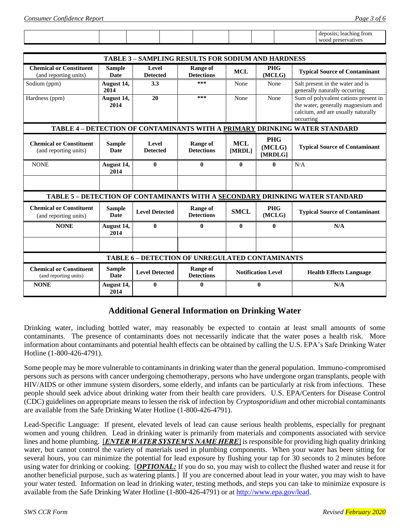|  |  |  |  | deposits:<br>leaching<br>trom |
|--|--|--|--|-------------------------------|
|  |  |  |  | wood<br>preservatives         |

| <b>TABLE 3 - SAMPLING RESULTS FOR SODIUM AND HARDNESS</b> |                              |                          |                                                        |                             |                                 |                                                                                                                               |  |
|-----------------------------------------------------------|------------------------------|--------------------------|--------------------------------------------------------|-----------------------------|---------------------------------|-------------------------------------------------------------------------------------------------------------------------------|--|
| <b>Chemical or Constituent</b><br>(and reporting units)   | <b>Sample</b><br><b>Date</b> | Level<br><b>Detected</b> | Range of<br><b>Detections</b>                          | <b>MCL</b>                  | <b>PHG</b><br>(MCLG)            | <b>Typical Source of Contaminant</b>                                                                                          |  |
| Sodium (ppm)                                              | August 14,<br>2014           | 3.3                      | ***                                                    | None                        | None                            | Salt present in the water and is<br>generally naturally occurring                                                             |  |
| Hardness (ppm)                                            | August 14,<br>2014           | 20                       | ***                                                    | None                        | None                            | Sum of polyvalent cations present in<br>the water, generally magnesium and<br>calcium, and are usually naturally<br>occurring |  |
|                                                           |                              |                          |                                                        |                             |                                 | TABLE 4 - DETECTION OF CONTAMINANTS WITH A PRIMARY DRINKING WATER STANDARD                                                    |  |
| <b>Chemical or Constituent</b><br>(and reporting units)   | <b>Sample</b><br><b>Date</b> | Level<br><b>Detected</b> | <b>Range of</b><br><b>Detections</b>                   | <b>MCL</b><br><b>IMRDL1</b> | <b>PHG</b><br>(MCLG)<br>[MRDLG] | <b>Typical Source of Contaminant</b>                                                                                          |  |
| <b>NONE</b>                                               | August 14,<br>2014           | $\theta$                 | $\mathbf{0}$                                           | $\theta$                    | 0                               | N/A                                                                                                                           |  |
|                                                           |                              |                          |                                                        |                             |                                 |                                                                                                                               |  |
|                                                           |                              |                          |                                                        |                             |                                 | TABLE 5 - DETECTION OF CONTAMINANTS WITH A SECONDARY DRINKING WATER STANDARD                                                  |  |
| <b>Chemical or Constituent</b><br>(and reporting units)   | <b>Sample</b><br><b>Date</b> | <b>Level Detected</b>    | <b>Range of</b><br><b>Detections</b>                   | <b>SMCL</b>                 | <b>PHG</b><br>(MCLG)            | <b>Typical Source of Contaminant</b>                                                                                          |  |
| <b>NONE</b>                                               | August 14,<br>2014           | $\mathbf{0}$             | $\mathbf{0}$                                           | $\mathbf{0}$                | $\bf{0}$                        | N/A                                                                                                                           |  |
|                                                           |                              |                          |                                                        |                             |                                 |                                                                                                                               |  |
|                                                           |                              |                          | <b>TABLE 6 - DETECTION OF UNREGULATED CONTAMINANTS</b> |                             |                                 |                                                                                                                               |  |
| <b>Chemical or Constituent</b><br>(and reporting units)   | <b>Sample</b><br><b>Date</b> | <b>Level Detected</b>    | <b>Range of</b><br><b>Detections</b>                   |                             | <b>Notification Level</b>       | <b>Health Effects Language</b>                                                                                                |  |
| <b>NONE</b>                                               | August 14,<br>2014           | 0                        | 0                                                      |                             | $\bf{0}$                        | N/A                                                                                                                           |  |

# **Additional General Information on Drinking Water**

Drinking water, including bottled water, may reasonably be expected to contain at least small amounts of some contaminants. The presence of contaminants does not necessarily indicate that the water poses a health risk. More information about contaminants and potential health effects can be obtained by calling the U.S. EPA's Safe Drinking Water Hotline (1-800-426-4791).

Some people may be more vulnerable to contaminants in drinking water than the general population. Immuno-compromised persons such as persons with cancer undergoing chemotherapy, persons who have undergone organ transplants, people with HIV/AIDS or other immune system disorders, some elderly, and infants can be particularly at risk from infections. These people should seek advice about drinking water from their health care providers. U.S. EPA/Centers for Disease Control (CDC) guidelines on appropriate means to lessen the risk of infection by *Cryptosporidium* and other microbial contaminants are available from the Safe Drinking Water Hotline (1-800-426-4791).

Lead-Specific Language: If present, elevated levels of lead can cause serious health problems, especially for pregnant women and young children. Lead in drinking water is primarily from materials and components associated with service lines and home plumbing. [*ENTER WATER SYSTEM'S NAME HERE*] is responsible for providing high quality drinking water, but cannot control the variety of materials used in plumbing components. When your water has been sitting for several hours, you can minimize the potential for lead exposure by flushing your tap for 30 seconds to 2 minutes before using water for drinking or cooking. [*OPTIONAL:* If you do so, you may wish to collect the flushed water and reuse it for another beneficial purpose, such as watering plants.] If you are concerned about lead in your water, you may wish to have your water tested. Information on lead in drinking water, testing methods, and steps you can take to minimize exposure is available from the Safe Drinking Water Hotline (1-800-426-4791) or at [http://www.epa.gov/lead.](http://www.epa.gov/lead)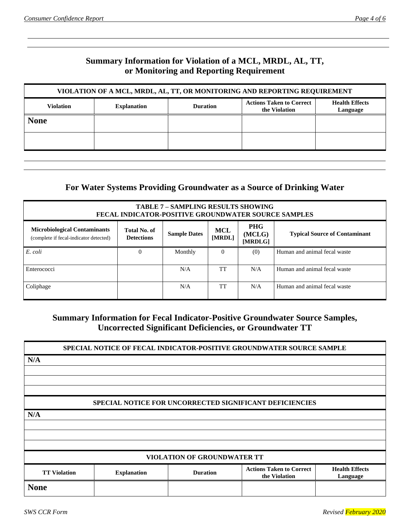# **Summary Information for Violation of a MCL, MRDL, AL, TT, or Monitoring and Reporting Requirement**

| VIOLATION OF A MCL, MRDL, AL, TT, OR MONITORING AND REPORTING REQUIREMENT |                    |                 |                                                  |                                   |  |  |
|---------------------------------------------------------------------------|--------------------|-----------------|--------------------------------------------------|-----------------------------------|--|--|
| <b>Violation</b>                                                          | <b>Explanation</b> | <b>Duration</b> | <b>Actions Taken to Correct</b><br>the Violation | <b>Health Effects</b><br>Language |  |  |
| <b>None</b>                                                               |                    |                 |                                                  |                                   |  |  |
|                                                                           |                    |                 |                                                  |                                   |  |  |
|                                                                           |                    |                 |                                                  |                                   |  |  |

### **For Water Systems Providing Groundwater as a Source of Drinking Water**

| <b>TABLE 7 - SAMPLING RESULTS SHOWING</b><br><b>FECAL INDICATOR-POSITIVE GROUNDWATER SOURCE SAMPLES</b>                                                                                                                                      |   |         |          |     |                              |  |  |
|----------------------------------------------------------------------------------------------------------------------------------------------------------------------------------------------------------------------------------------------|---|---------|----------|-----|------------------------------|--|--|
| <b>PHG</b><br><b>Microbiological Contaminants</b><br>Total No. of<br><b>MCL</b><br>(MCLG)<br><b>Sample Dates</b><br><b>Typical Source of Contaminant</b><br>[MRDL]<br><b>Detections</b><br>(complete if fecal-indicator detected)<br>[MRDLG] |   |         |          |     |                              |  |  |
| E. coli                                                                                                                                                                                                                                      | 0 | Monthly | $\Omega$ | (0) | Human and animal fecal waste |  |  |
| Enterococci                                                                                                                                                                                                                                  |   | N/A     | TT       | N/A | Human and animal fecal waste |  |  |
| Coliphage                                                                                                                                                                                                                                    |   | N/A     | TT       | N/A | Human and animal fecal waste |  |  |

# **Summary Information for Fecal Indicator-Positive Groundwater Source Samples, Uncorrected Significant Deficiencies, or Groundwater TT**

|                     |                    |                                    | SPECIAL NOTICE OF FECAL INDICATOR-POSITIVE GROUNDWATER SOURCE SAMPLE |                                   |
|---------------------|--------------------|------------------------------------|----------------------------------------------------------------------|-----------------------------------|
| N/A                 |                    |                                    |                                                                      |                                   |
|                     |                    |                                    |                                                                      |                                   |
|                     |                    |                                    |                                                                      |                                   |
|                     |                    |                                    |                                                                      |                                   |
|                     |                    |                                    | SPECIAL NOTICE FOR UNCORRECTED SIGNIFICANT DEFICIENCIES              |                                   |
| N/A                 |                    |                                    |                                                                      |                                   |
|                     |                    |                                    |                                                                      |                                   |
|                     |                    |                                    |                                                                      |                                   |
|                     |                    |                                    |                                                                      |                                   |
|                     |                    | <b>VIOLATION OF GROUNDWATER TT</b> |                                                                      |                                   |
| <b>TT Violation</b> | <b>Explanation</b> | <b>Duration</b>                    | <b>Actions Taken to Correct</b><br>the Violation                     | <b>Health Effects</b><br>Language |
| <b>None</b>         |                    |                                    |                                                                      |                                   |
|                     |                    |                                    |                                                                      |                                   |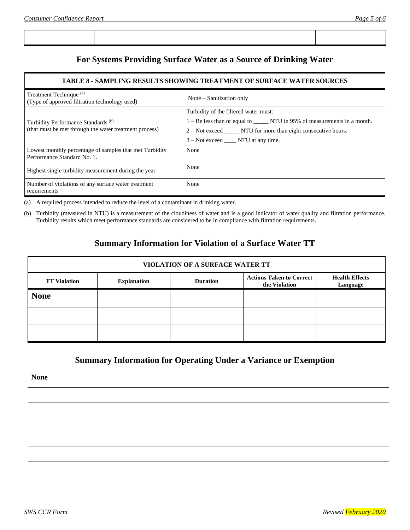## **For Systems Providing Surface Water as a Source of Drinking Water**

#### **TABLE 8 - SAMPLING RESULTS SHOWING TREATMENT OF SURFACE WATER SOURCES**

| Treatment Technique <sup>(a)</sup><br>(Type of approved filtration technology used)                      | None – Sanitization only                                                                                                                                                                                                            |  |  |  |  |
|----------------------------------------------------------------------------------------------------------|-------------------------------------------------------------------------------------------------------------------------------------------------------------------------------------------------------------------------------------|--|--|--|--|
| Turbidity Performance Standards <sup>(b)</sup><br>(that must be met through the water treatment process) | Turbidity of the filtered water must:<br>1 – Be less than or equal to _______ NTU in 95% of measurements in a month.<br>2 – Not exceed _______ NTU for more than eight consecutive hours.<br>3 – Not exceed ______ NTU at any time. |  |  |  |  |
| Lowest monthly percentage of samples that met Turbidity<br>Performance Standard No. 1.                   | None                                                                                                                                                                                                                                |  |  |  |  |
| Highest single turbidity measurement during the year                                                     | None                                                                                                                                                                                                                                |  |  |  |  |
| Number of violations of any surface water treatment<br>requirements                                      | None                                                                                                                                                                                                                                |  |  |  |  |

(a) A required process intended to reduce the level of a contaminant in drinking water.

(b) Turbidity (measured in NTU) is a measurement of the cloudiness of water and is a good indicator of water quality and filtration performance. Turbidity results which meet performance standards are considered to be in compliance with filtration requirements.

### **Summary Information for Violation of a Surface Water TT**

| VIOLATION OF A SURFACE WATER TT |                    |                 |                                                  |                                   |  |  |  |
|---------------------------------|--------------------|-----------------|--------------------------------------------------|-----------------------------------|--|--|--|
| <b>TT Violation</b>             | <b>Explanation</b> | <b>Duration</b> | <b>Actions Taken to Correct</b><br>the Violation | <b>Health Effects</b><br>Language |  |  |  |
| <b>None</b>                     |                    |                 |                                                  |                                   |  |  |  |
|                                 |                    |                 |                                                  |                                   |  |  |  |
|                                 |                    |                 |                                                  |                                   |  |  |  |

### **Summary Information for Operating Under a Variance or Exemption**

**None**